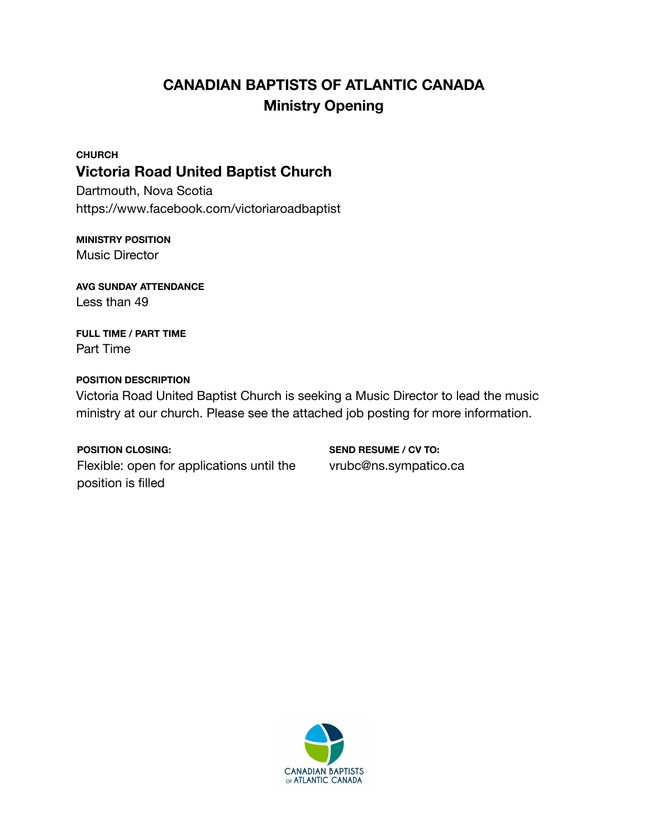# **CANADIAN BAPTISTS OF ATLANTIC CANADA Ministry Opening**

## **CHURCH Victoria Road United Baptist Church**

Dartmouth, Nova Scotia https://www.facebook.com/victoriaroadbaptist

#### **MINISTRY POSITION** Music Director

**AVG SUNDAY ATTENDANCE** Less than 49

**FULL TIME / PART TIME** Part Time

### **POSITION DESCRIPTION**

Victoria Road United Baptist Church is seeking a Music Director to lead the music ministry at our church. Please see the attached job posting for more information.

#### **POSITION CLOSING:**

Flexible: open for applications until the position is filled

**SEND RESUME / CV TO:** vrubc@ns.sympatico.ca